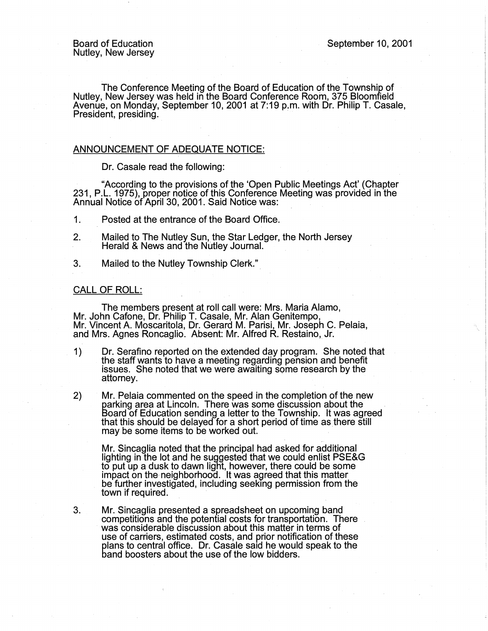The Conference Meeting of the Board of Education of the Township of Nutley, New Jersey was held in the Board Conference Room, 375 Bloomfield Avenue, on Monday, September 10, 2001 at?:19 p.m. with Dr. Philip T. Casale, President, presiding.

## ANNOUNCEMENT OF ADEQUATE NOTICE:

Dr. Casale read the following:

· "According to the provisions of the 'Open Public Meetings Act' (Chapter 231, P.L. 1975), proper notice of this Conference Meeting was provided in the Annual Notice of April 30, 2001. Said Notice was: .

1. Posted at the entrance of the Board Office.

- 2. Mailed to The Nutley Sun, the Star Ledger, the North Jersey Herald & News and the Nutley Journal.
- 3. Mailed to the Nutley Township Clerk.".

## CALL OF ROLL:

The members present at roll call were: Mrs. Maria Alamo, Mr. John Catone, Dr. Philip T. Casale, Mr. Alan Genitempo, Mr. Vincent A. Moscaritola, Dr. Gerard M. Parisi, Mr. Joseph C. Pelaia, and Mrs. Agnes Roncaglio. Absent: Mr. Alfred R. Restaino, Jr.

- 1) Dr. Serafino reported on the extended day program. She noted that the staff wants to have a meeting regarding pension and benefit issues. She noted that we were awaiting some research by the attorney.
- 2) Mr. Pelaia commented on the speed in the completion of the new<br>parking area at Lincoln. There was some discussion about the Board of Education sending a letter to the Township. It was agreed that this should be delayed for a short period of time as there still may be some items to be worked out.

Mr. Sincaglia noted that the principal had asked for additional lighting in the lot and he suggested that we could enlist PSE&G to put up a dusk to dawn light, however, there could be some impact on the neighborhood. It was agreed that this matter be further investigated, including seeking permission from the town if required.

3. Mr. Sincaglia presented a spreadsheet on upcoming band competitions and the potential costs for transportation. There was considerable discussion about this matter in terms of use of carriers, estimated costs, and prior notification of these plans to central office. Dr. Casale said he would speak to the band boosters about the use of the low bidders.